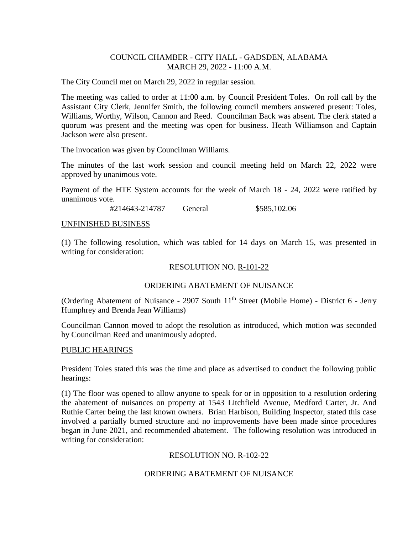### COUNCIL CHAMBER - CITY HALL - GADSDEN, ALABAMA MARCH 29, 2022 - 11:00 A.M.

The City Council met on March 29, 2022 in regular session.

The meeting was called to order at 11:00 a.m. by Council President Toles. On roll call by the Assistant City Clerk, Jennifer Smith, the following council members answered present: Toles, Williams, Worthy, Wilson, Cannon and Reed. Councilman Back was absent. The clerk stated a quorum was present and the meeting was open for business. Heath Williamson and Captain Jackson were also present.

The invocation was given by Councilman Williams.

The minutes of the last work session and council meeting held on March 22, 2022 were approved by unanimous vote.

Payment of the HTE System accounts for the week of March 18 - 24, 2022 were ratified by unanimous vote.

#214643-214787 General \$585,102.06

#### UNFINISHED BUSINESS

(1) The following resolution, which was tabled for 14 days on March 15, was presented in writing for consideration:

### RESOLUTION NO. R-101-22

### ORDERING ABATEMENT OF NUISANCE

(Ordering Abatement of Nuisance - 2907 South  $11<sup>th</sup>$  Street (Mobile Home) - District 6 - Jerry Humphrey and Brenda Jean Williams)

Councilman Cannon moved to adopt the resolution as introduced, which motion was seconded by Councilman Reed and unanimously adopted.

#### PUBLIC HEARINGS

President Toles stated this was the time and place as advertised to conduct the following public hearings:

(1) The floor was opened to allow anyone to speak for or in opposition to a resolution ordering the abatement of nuisances on property at 1543 Litchfield Avenue, Medford Carter, Jr. And Ruthie Carter being the last known owners. Brian Harbison, Building Inspector, stated this case involved a partially burned structure and no improvements have been made since procedures began in June 2021, and recommended abatement. The following resolution was introduced in writing for consideration:

### RESOLUTION NO. R-102-22

### ORDERING ABATEMENT OF NUISANCE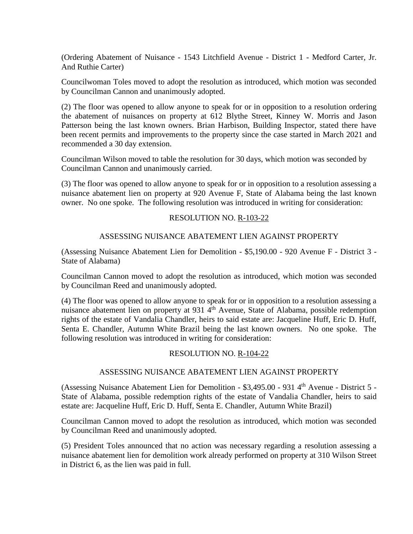(Ordering Abatement of Nuisance - 1543 Litchfield Avenue - District 1 - Medford Carter, Jr. And Ruthie Carter)

Councilwoman Toles moved to adopt the resolution as introduced, which motion was seconded by Councilman Cannon and unanimously adopted.

(2) The floor was opened to allow anyone to speak for or in opposition to a resolution ordering the abatement of nuisances on property at 612 Blythe Street, Kinney W. Morris and Jason Patterson being the last known owners. Brian Harbison, Building Inspector, stated there have been recent permits and improvements to the property since the case started in March 2021 and recommended a 30 day extension.

Councilman Wilson moved to table the resolution for 30 days, which motion was seconded by Councilman Cannon and unanimously carried.

(3) The floor was opened to allow anyone to speak for or in opposition to a resolution assessing a nuisance abatement lien on property at 920 Avenue F, State of Alabama being the last known owner. No one spoke. The following resolution was introduced in writing for consideration:

### RESOLUTION NO. R-103-22

### ASSESSING NUISANCE ABATEMENT LIEN AGAINST PROPERTY

(Assessing Nuisance Abatement Lien for Demolition - \$5,190.00 - 920 Avenue F - District 3 - State of Alabama)

Councilman Cannon moved to adopt the resolution as introduced, which motion was seconded by Councilman Reed and unanimously adopted.

(4) The floor was opened to allow anyone to speak for or in opposition to a resolution assessing a nuisance abatement lien on property at 931 4<sup>th</sup> Avenue, State of Alabama, possible redemption rights of the estate of Vandalia Chandler, heirs to said estate are: Jacqueline Huff, Eric D. Huff, Senta E. Chandler, Autumn White Brazil being the last known owners. No one spoke. The following resolution was introduced in writing for consideration:

### RESOLUTION NO. R-104-22

### ASSESSING NUISANCE ABATEMENT LIEN AGAINST PROPERTY

(Assessing Nuisance Abatement Lien for Demolition -  $$3,495.00$  - 931 4<sup>th</sup> Avenue - District 5 -State of Alabama, possible redemption rights of the estate of Vandalia Chandler, heirs to said estate are: Jacqueline Huff, Eric D. Huff, Senta E. Chandler, Autumn White Brazil)

Councilman Cannon moved to adopt the resolution as introduced, which motion was seconded by Councilman Reed and unanimously adopted.

(5) President Toles announced that no action was necessary regarding a resolution assessing a nuisance abatement lien for demolition work already performed on property at 310 Wilson Street in District 6, as the lien was paid in full.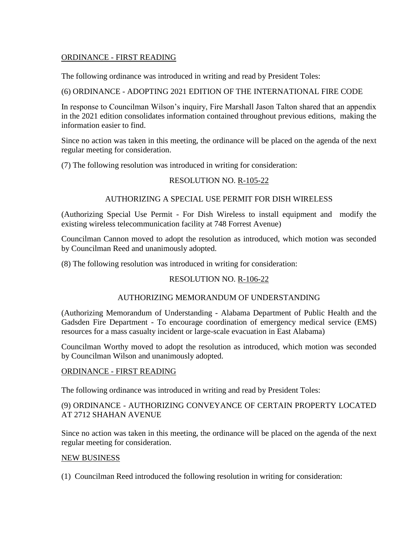# ORDINANCE - FIRST READING

The following ordinance was introduced in writing and read by President Toles:

### (6) ORDINANCE - ADOPTING 2021 EDITION OF THE INTERNATIONAL FIRE CODE

In response to Councilman Wilson's inquiry, Fire Marshall Jason Talton shared that an appendix in the 2021 edition consolidates information contained throughout previous editions, making the information easier to find.

Since no action was taken in this meeting, the ordinance will be placed on the agenda of the next regular meeting for consideration.

(7) The following resolution was introduced in writing for consideration:

# RESOLUTION NO. R-105-22

## AUTHORIZING A SPECIAL USE PERMIT FOR DISH WIRELESS

(Authorizing Special Use Permit - For Dish Wireless to install equipment and modify the existing wireless telecommunication facility at 748 Forrest Avenue)

Councilman Cannon moved to adopt the resolution as introduced, which motion was seconded by Councilman Reed and unanimously adopted.

(8) The following resolution was introduced in writing for consideration:

## RESOLUTION NO. R-106-22

### AUTHORIZING MEMORANDUM OF UNDERSTANDING

(Authorizing Memorandum of Understanding - Alabama Department of Public Health and the Gadsden Fire Department - To encourage coordination of emergency medical service (EMS) resources for a mass casualty incident or large-scale evacuation in East Alabama)

Councilman Worthy moved to adopt the resolution as introduced, which motion was seconded by Councilman Wilson and unanimously adopted.

### ORDINANCE - FIRST READING

The following ordinance was introduced in writing and read by President Toles:

## (9) ORDINANCE - AUTHORIZING CONVEYANCE OF CERTAIN PROPERTY LOCATED AT 2712 SHAHAN AVENUE

Since no action was taken in this meeting, the ordinance will be placed on the agenda of the next regular meeting for consideration.

### NEW BUSINESS

(1) Councilman Reed introduced the following resolution in writing for consideration: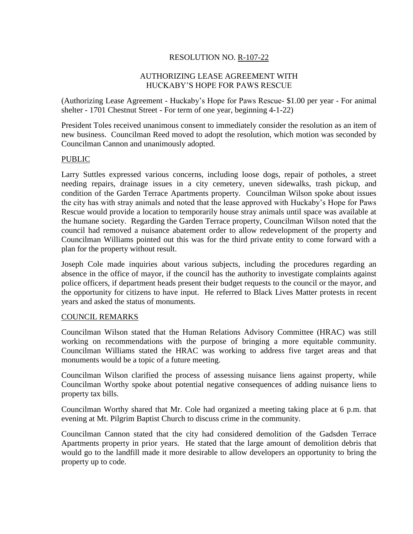# RESOLUTION NO. R-107-22

### AUTHORIZING LEASE AGREEMENT WITH HUCKABY'S HOPE FOR PAWS RESCUE

(Authorizing Lease Agreement - Huckaby's Hope for Paws Rescue- \$1.00 per year - For animal shelter - 1701 Chestnut Street - For term of one year, beginning 4-1-22)

President Toles received unanimous consent to immediately consider the resolution as an item of new business. Councilman Reed moved to adopt the resolution, which motion was seconded by Councilman Cannon and unanimously adopted.

### PUBLIC

Larry Suttles expressed various concerns, including loose dogs, repair of potholes, a street needing repairs, drainage issues in a city cemetery, uneven sidewalks, trash pickup, and condition of the Garden Terrace Apartments property. Councilman Wilson spoke about issues the city has with stray animals and noted that the lease approved with Huckaby's Hope for Paws Rescue would provide a location to temporarily house stray animals until space was available at the humane society. Regarding the Garden Terrace property, Councilman Wilson noted that the council had removed a nuisance abatement order to allow redevelopment of the property and Councilman Williams pointed out this was for the third private entity to come forward with a plan for the property without result.

Joseph Cole made inquiries about various subjects, including the procedures regarding an absence in the office of mayor, if the council has the authority to investigate complaints against police officers, if department heads present their budget requests to the council or the mayor, and the opportunity for citizens to have input. He referred to Black Lives Matter protests in recent years and asked the status of monuments.

### COUNCIL REMARKS

Councilman Wilson stated that the Human Relations Advisory Committee (HRAC) was still working on recommendations with the purpose of bringing a more equitable community. Councilman Williams stated the HRAC was working to address five target areas and that monuments would be a topic of a future meeting.

Councilman Wilson clarified the process of assessing nuisance liens against property, while Councilman Worthy spoke about potential negative consequences of adding nuisance liens to property tax bills.

Councilman Worthy shared that Mr. Cole had organized a meeting taking place at 6 p.m. that evening at Mt. Pilgrim Baptist Church to discuss crime in the community.

Councilman Cannon stated that the city had considered demolition of the Gadsden Terrace Apartments property in prior years. He stated that the large amount of demolition debris that would go to the landfill made it more desirable to allow developers an opportunity to bring the property up to code.